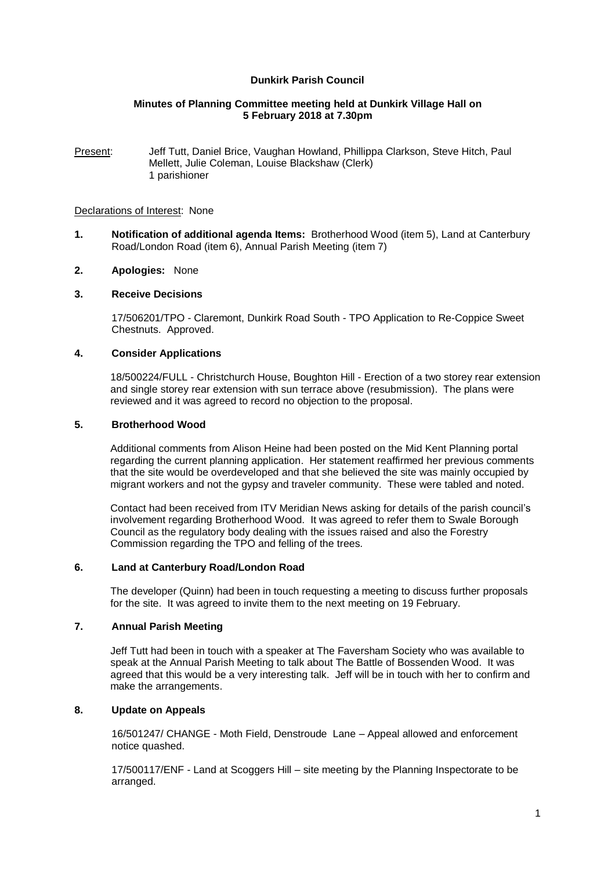## **Dunkirk Parish Council**

## **Minutes of Planning Committee meeting held at Dunkirk Village Hall on 5 February 2018 at 7.30pm**

Present: Jeff Tutt, Daniel Brice, Vaughan Howland, Phillippa Clarkson, Steve Hitch, Paul Mellett, Julie Coleman, Louise Blackshaw (Clerk) 1 parishioner

#### Declarations of Interest: None

- **1. Notification of additional agenda Items:** Brotherhood Wood (item 5), Land at Canterbury Road/London Road (item 6), Annual Parish Meeting (item 7)
- **2. Apologies:** None

## **3. Receive Decisions**

17/506201/TPO - Claremont, Dunkirk Road South - TPO Application to Re-Coppice Sweet Chestnuts. Approved.

### **4. Consider Applications**

18/500224/FULL - Christchurch House, Boughton Hill - Erection of a two storey rear extension and single storey rear extension with sun terrace above (resubmission). The plans were reviewed and it was agreed to record no objection to the proposal.

#### **5. Brotherhood Wood**

Additional comments from Alison Heine had been posted on the Mid Kent Planning portal regarding the current planning application. Her statement reaffirmed her previous comments that the site would be overdeveloped and that she believed the site was mainly occupied by migrant workers and not the gypsy and traveler community. These were tabled and noted.

Contact had been received from ITV Meridian News asking for details of the parish council's involvement regarding Brotherhood Wood. It was agreed to refer them to Swale Borough Council as the regulatory body dealing with the issues raised and also the Forestry Commission regarding the TPO and felling of the trees.

#### **6. Land at Canterbury Road/London Road**

The developer (Quinn) had been in touch requesting a meeting to discuss further proposals for the site. It was agreed to invite them to the next meeting on 19 February.

## **7. Annual Parish Meeting**

Jeff Tutt had been in touch with a speaker at The Faversham Society who was available to speak at the Annual Parish Meeting to talk about The Battle of Bossenden Wood. It was agreed that this would be a very interesting talk. Jeff will be in touch with her to confirm and make the arrangements.

# **8. Update on Appeals**

16/501247/ CHANGE - Moth Field, Denstroude Lane – Appeal allowed and enforcement notice quashed.

17/500117/ENF - Land at Scoggers Hill – site meeting by the Planning Inspectorate to be arranged.